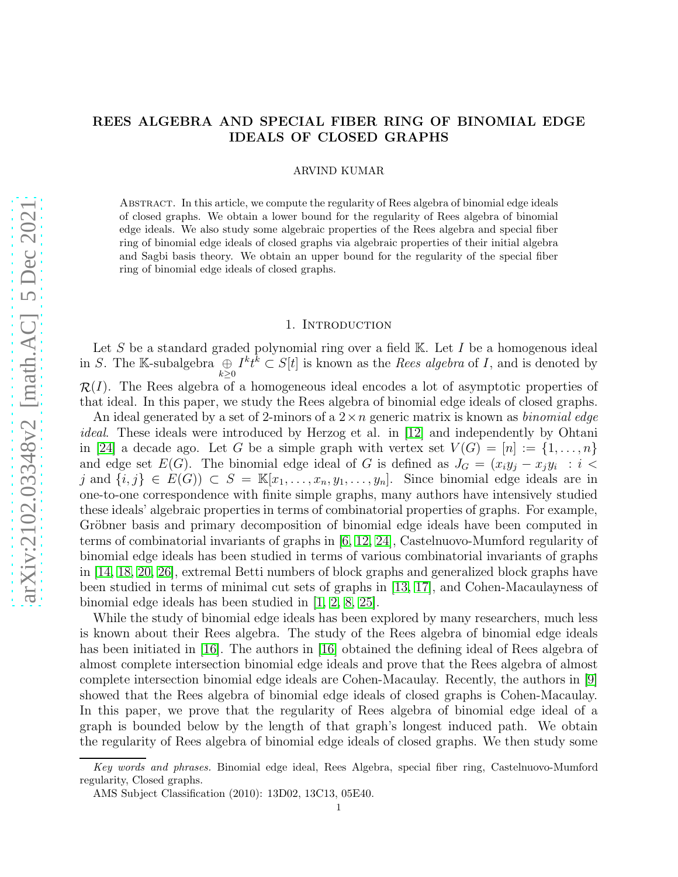## ARVIND KUMAR

ABSTRACT. In this article, we compute the regularity of Rees algebra of binomial edge ideals of closed graphs. We obtain a lower bound for the regularity of Rees algebra of binomial edge ideals. We also study some algebraic properties of the Rees algebra and special fiber ring of binomial edge ideals of closed graphs via algebraic properties of their initial algebra and Sagbi basis theory. We obtain an upper bound for the regularity of the special fiber ring of binomial edge ideals of closed graphs.

### 1. INTRODUCTION

Let S be a standard graded polynomial ring over a field  $K$ . Let I be a homogenous ideal in S. The K-subalgebra  $\bigoplus_{k\geq 0} I^k t^k \subset S[t]$  is known as the *Rees algebra* of I, and is denoted by  $\mathcal{R}(I)$ . The Rees algebra of a homogeneous ideal encodes a lot of asymptotic properties of that ideal. In this paper, we study the Rees algebra of binomial edge ideals of closed graphs.

An ideal generated by a set of 2-minors of a 2×n generic matrix is known as *binomial edge ideal*. These ideals were introduced by Herzog et al. in [\[12\]](#page-8-0) and independently by Ohtani in [\[24\]](#page-8-1) a decade ago. Let G be a simple graph with vertex set  $V(G) = [n] := \{1, \ldots, n\}$ and edge set  $E(G)$ . The binomial edge ideal of G is defined as  $J_G = (x_i y_j - x_j y_i)$ : i < j and  $\{i, j\} \in E(G)$ )  $\subset S = \mathbb{K}[x_1, \ldots, x_n, y_1, \ldots, y_n]$ . Since binomial edge ideals are in one-to-one correspondence with finite simple graphs, many authors have intensively studied these ideals' algebraic properties in terms of combinatorial properties of graphs. For example, Gröbner basis and primary decomposition of binomial edge ideals have been computed in terms of combinatorial invariants of graphs in [\[6,](#page-7-0) [12,](#page-8-0) [24\]](#page-8-1), Castelnuovo-Mumford regularity of binomial edge ideals has been studied in terms of various combinatorial invariants of graphs in [\[14,](#page-8-2) [18,](#page-8-3) [20,](#page-8-4) [26\]](#page-8-5), extremal Betti numbers of block graphs and generalized block graphs have been studied in terms of minimal cut sets of graphs in [\[13,](#page-8-6) [17\]](#page-8-7), and Cohen-Macaulayness of binomial edge ideals has been studied in [\[1,](#page-7-1) [2,](#page-7-2) [8,](#page-8-8) [25\]](#page-8-9).

While the study of binomial edge ideals has been explored by many researchers, much less is known about their Rees algebra. The study of the Rees algebra of binomial edge ideals has been initiated in [\[16\]](#page-8-10). The authors in [16] obtained the defining ideal of Rees algebra of almost complete intersection binomial edge ideals and prove that the Rees algebra of almost complete intersection binomial edge ideals are Cohen-Macaulay. Recently, the authors in [\[9\]](#page-8-11) showed that the Rees algebra of binomial edge ideals of closed graphs is Cohen-Macaulay. In this paper, we prove that the regularity of Rees algebra of binomial edge ideal of a graph is bounded below by the length of that graph's longest induced path. We obtain the regularity of Rees algebra of binomial edge ideals of closed graphs. We then study some

Key words and phrases. Binomial edge ideal, Rees Algebra, special fiber ring, Castelnuovo-Mumford regularity, Closed graphs.

AMS Subject Classification (2010): 13D02, 13C13, 05E40.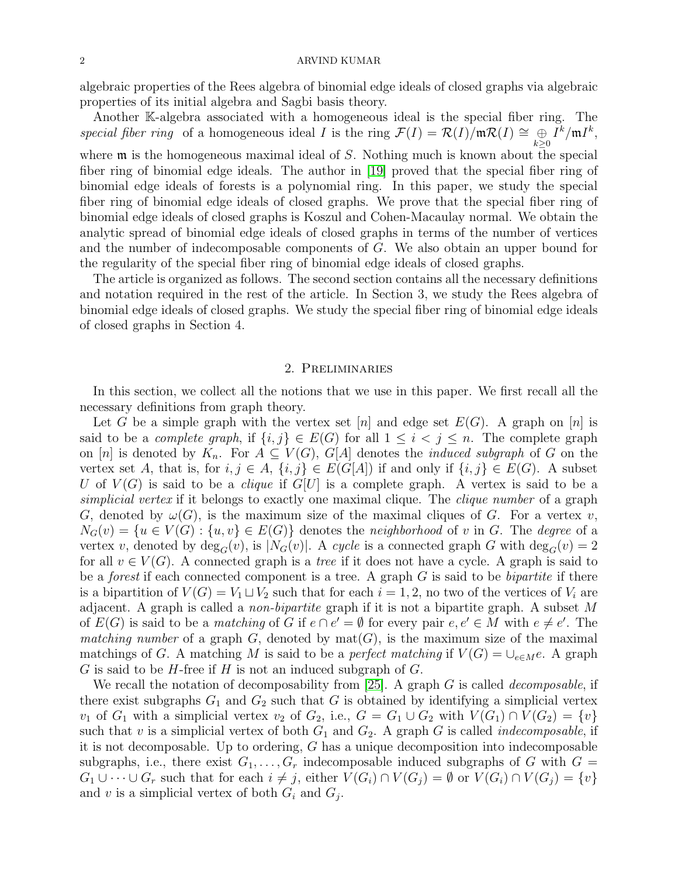algebraic properties of the Rees algebra of binomial edge ideals of closed graphs via algebraic properties of its initial algebra and Sagbi basis theory.

Another K-algebra associated with a homogeneous ideal is the special fiber ring. The *special fiber ring* of a homogeneous ideal *I* is the ring  $\mathcal{F}(I) = \mathcal{R}(I) / \mathfrak{m} \mathcal{R}(I) \cong \bigoplus_{k \geq 0} I^k / \mathfrak{m} I^k$ ,

where  $\mathfrak m$  is the homogeneous maximal ideal of S. Nothing much is known about the special fiber ring of binomial edge ideals. The author in [\[19\]](#page-8-12) proved that the special fiber ring of binomial edge ideals of forests is a polynomial ring. In this paper, we study the special fiber ring of binomial edge ideals of closed graphs. We prove that the special fiber ring of binomial edge ideals of closed graphs is Koszul and Cohen-Macaulay normal. We obtain the analytic spread of binomial edge ideals of closed graphs in terms of the number of vertices and the number of indecomposable components of G. We also obtain an upper bound for the regularity of the special fiber ring of binomial edge ideals of closed graphs.

The article is organized as follows. The second section contains all the necessary definitions and notation required in the rest of the article. In Section 3, we study the Rees algebra of binomial edge ideals of closed graphs. We study the special fiber ring of binomial edge ideals of closed graphs in Section 4.

# 2. Preliminaries

In this section, we collect all the notions that we use in this paper. We first recall all the necessary definitions from graph theory.

Let G be a simple graph with the vertex set [n] and edge set  $E(G)$ . A graph on [n] is said to be a *complete graph*, if  $\{i, j\} \in E(G)$  for all  $1 \leq i < j \leq n$ . The complete graph on [n] is denoted by  $K_n$ . For  $A \subseteq V(G)$ ,  $G[A]$  denotes the *induced subgraph* of G on the vertex set A, that is, for  $i, j \in A$ ,  $\{i, j\} \in E(G[A])$  if and only if  $\{i, j\} \in E(G)$ . A subset U of  $V(G)$  is said to be a *clique* if  $G[U]$  is a complete graph. A vertex is said to be a *simplicial vertex* if it belongs to exactly one maximal clique. The *clique number* of a graph G, denoted by  $\omega(G)$ , is the maximum size of the maximal cliques of G. For a vertex v,  $N_G(v) = \{u \in V(G) : \{u, v\} \in E(G)\}\$ denotes the *neighborhood* of v in G. The *degree* of a vertex v, denoted by  $\deg_G(v)$ , is  $|N_G(v)|$ . A *cycle* is a connected graph G with  $\deg_G(v) = 2$ for all  $v \in V(G)$ . A connected graph is a *tree* if it does not have a cycle. A graph is said to be a *forest* if each connected component is a tree. A graph G is said to be *bipartite* if there is a bipartition of  $V(G) = V_1 \sqcup V_2$  such that for each  $i = 1, 2$ , no two of the vertices of  $V_i$  are adjacent. A graph is called a *non-bipartite* graph if it is not a bipartite graph. A subset M of  $E(G)$  is said to be a *matching* of G if  $e \cap e' = \emptyset$  for every pair  $e, e' \in M$  with  $e \neq e'$ . The *matching number* of a graph  $G$ , denoted by  $mat(G)$ , is the maximum size of the maximal matchings of G. A matching M is said to be a *perfect matching* if  $V(G) = \bigcup_{e \in M} e$ . A graph  $G$  is said to be  $H$ -free if  $H$  is not an induced subgraph of  $G$ .

We recall the notation of decomposability from [\[25\]](#page-8-9). A graph G is called *decomposable*, if there exist subgraphs  $G_1$  and  $G_2$  such that G is obtained by identifying a simplicial vertex  $v_1$  of  $G_1$  with a simplicial vertex  $v_2$  of  $G_2$ , i.e.,  $G = G_1 \cup G_2$  with  $V(G_1) \cap V(G_2) = \{v\}$ such that v is a simplicial vertex of both  $G_1$  and  $G_2$ . A graph G is called *indecomposable*, if it is not decomposable. Up to ordering, G has a unique decomposition into indecomposable subgraphs, i.e., there exist  $G_1, \ldots, G_r$  indecomposable induced subgraphs of G with  $G =$  $G_1 \cup \cdots \cup G_r$  such that for each  $i \neq j$ , either  $V(G_i) \cap V(G_j) = \emptyset$  or  $V(G_i) \cap V(G_j) = \{v\}$ and v is a simplicial vertex of both  $G_i$  and  $G_j$ .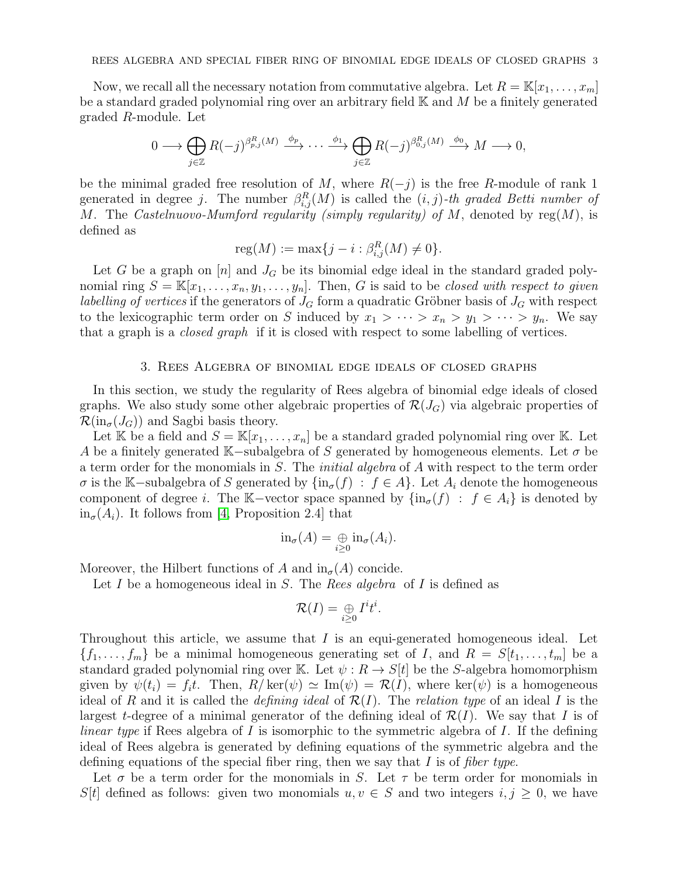Now, we recall all the necessary notation from commutative algebra. Let  $R = \mathbb{K}[x_1, \ldots, x_m]$ be a standard graded polynomial ring over an arbitrary field  $K$  and  $M$  be a finitely generated graded R-module. Let

$$
0 \longrightarrow \bigoplus_{j \in \mathbb{Z}} R(-j)^{\beta_{p,j}^R(M)} \xrightarrow{\phi_p} \cdots \xrightarrow{\phi_1} \bigoplus_{j \in \mathbb{Z}} R(-j)^{\beta_{0,j}^R(M)} \xrightarrow{\phi_0} M \longrightarrow 0,
$$

be the minimal graded free resolution of M, where  $R(-j)$  is the free R-module of rank 1 generated in degree *j*. The number  $\beta_{i,j}^R(M)$  is called the  $(i, j)$ -th graded Betti number of M. The *Castelnuovo-Mumford regularity (simply regularity) of* M, denoted by reg(M), is defined as

$$
reg(M) := max{j - i : \beta_{i,j}^R(M) \neq 0}.
$$

Let G be a graph on  $[n]$  and  $J_G$  be its binomial edge ideal in the standard graded polynomial ring  $S = \mathbb{K}[x_1, \ldots, x_n, y_1, \ldots, y_n]$ . Then, G is said to be *closed with respect to given labelling of vertices* if the generators of  $J<sub>G</sub>$  form a quadratic Gröbner basis of  $J<sub>G</sub>$  with respect to the lexicographic term order on S induced by  $x_1 > \cdots > x_n > y_1 > \cdots > y_n$ . We say that a graph is a *closed graph* if it is closed with respect to some labelling of vertices.

#### 3. Rees Algebra of binomial edge ideals of closed graphs

In this section, we study the regularity of Rees algebra of binomial edge ideals of closed graphs. We also study some other algebraic properties of  $\mathcal{R}(J_G)$  via algebraic properties of  $\mathcal{R}(\text{in}_{\sigma}(J_G))$  and Sagbi basis theory.

Let K be a field and  $S = K[x_1, \ldots, x_n]$  be a standard graded polynomial ring over K. Let A be a finitely generated K–subalgebra of S generated by homogeneous elements. Let  $\sigma$  be a term order for the monomials in S. The *initial algebra* of A with respect to the term order  $\sigma$  is the K–subalgebra of S generated by  $\{\text{in}_{\sigma}(f) : f \in A\}$ . Let  $A_i$  denote the homogeneous component of degree i. The K–vector space spanned by  $\{\text{in}_{\sigma}(f) : f \in A_i\}$  is denoted by  $in_{\sigma}(A_i)$ . It follows from [\[4,](#page-7-3) Proposition 2.4] that

$$
\text{in}_{\sigma}(A) = \bigoplus_{i \geq 0} \text{in}_{\sigma}(A_i).
$$

Moreover, the Hilbert functions of A and  $\text{in}_{\sigma}(A)$  concide.

Let I be a homogeneous ideal in S. The *Rees algebra* of I is defined as

$$
\mathcal{R}(I)=\underset{i\geq 0}{\oplus}I^it^i
$$

.

Throughout this article, we assume that  $I$  is an equi-generated homogeneous ideal. Let  $\{f_1, \ldots, f_m\}$  be a minimal homogeneous generating set of I, and  $R = S[t_1, \ldots, t_m]$  be a standard graded polynomial ring over K. Let  $\psi : R \to S[t]$  be the S-algebra homomorphism given by  $\psi(t_i) = f_i t$ . Then,  $R/\text{ker}(\psi) \simeq \text{Im}(\psi) = \mathcal{R}(I)$ , where  $\text{ker}(\psi)$  is a homogeneous ideal of R and it is called the *defining ideal* of R(I). The *relation type* of an ideal I is the largest t-degree of a minimal generator of the defining ideal of  $\mathcal{R}(I)$ . We say that I is of *linear type* if Rees algebra of I is isomorphic to the symmetric algebra of I. If the defining ideal of Rees algebra is generated by defining equations of the symmetric algebra and the defining equations of the special fiber ring, then we say that I is of *fiber type*.

Let  $\sigma$  be a term order for the monomials in S. Let  $\tau$  be term order for monomials in S[t] defined as follows: given two monomials  $u, v \in S$  and two integers  $i, j \geq 0$ , we have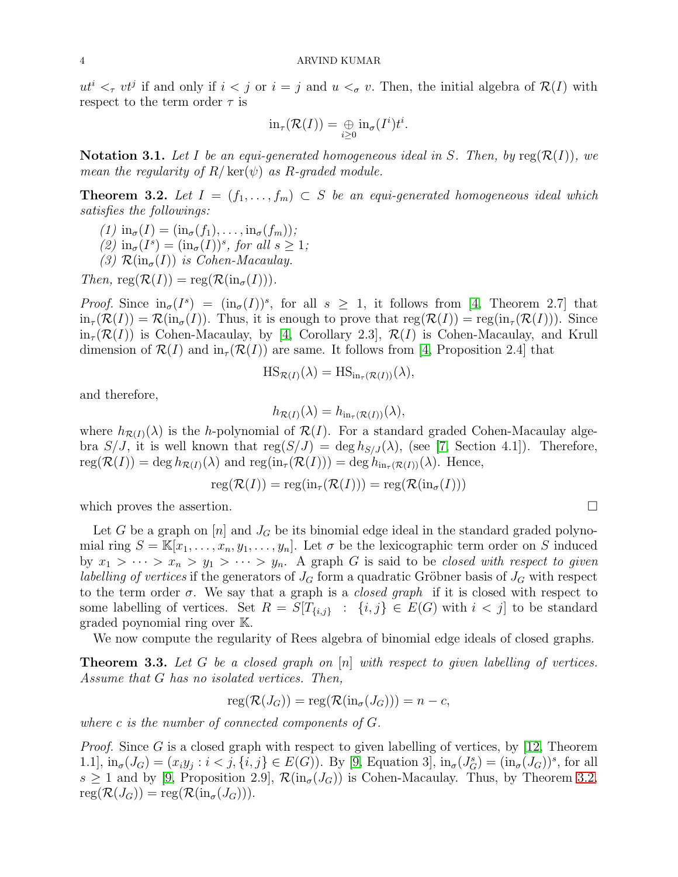$ut^i <_{\tau} vt^j$  if and only if  $i < j$  or  $i = j$  and  $u <_{\sigma} v$ . Then, the initial algebra of  $\mathcal{R}(I)$  with respect to the term order  $\tau$  is

$$
\mathrm{in}_{\tau}(\mathcal{R}(I))=\underset{i\geq 0}{\oplus}\mathrm{in}_{\sigma}(I^i)t^i.
$$

**Notation 3.1.** Let I be an equi-generated homogeneous ideal in S. Then, by  $reg(\mathcal{R}(I))$ , we *mean the regularity of*  $R/\text{ker}(\psi)$  *as*  $R$ -graded module.

<span id="page-3-0"></span>**Theorem 3.2.** Let  $I = (f_1, \ldots, f_m) \subset S$  be an equi-generated homogeneous ideal which *satisfies the followings:*

$$
(1) \text{ in}_{\sigma}(I) = (\text{in}_{\sigma}(f_1), \dots, \text{in}_{\sigma}(f_m));
$$
  

$$
(2) \text{ in}_{\sigma}(I^s) = (\text{in}_{\sigma}(I))^s, \text{ for all } s \geq 1;
$$

*(3)*  $\mathcal{R}(\text{in}_{\sigma}(I))$  *is Cohen-Macaulay.* 

 $Then, \, \text{reg}(\mathcal{R}(I)) = \text{reg}(\mathcal{R}(\text{in}_{\sigma}(I))).$ 

*Proof.* Since  $\text{in}_{\sigma}(I^s) = (\text{in}_{\sigma}(I))^s$ , for all  $s \geq 1$ , it follows from [\[4,](#page-7-3) Theorem 2.7] that  $\text{in}_{\tau}(\mathcal{R}(I)) = \mathcal{R}(\text{in}_{\sigma}(I)).$  Thus, it is enough to prove that  $\text{reg}(\mathcal{R}(I)) = \text{reg}(\text{in}_{\tau}(\mathcal{R}(I))).$  Since  $in_{\tau}(\mathcal{R}(I))$  is Cohen-Macaulay, by [\[4,](#page-7-3) Corollary 2.3],  $\mathcal{R}(I)$  is Cohen-Macaulay, and Krull dimension of  $\mathcal{R}(I)$  and  $\text{in}_{\tau}(\mathcal{R}(I))$  are same. It follows from [\[4,](#page-7-3) Proposition 2.4] that

$$
HS_{\mathcal{R}(I)}(\lambda) = HS_{\text{in}_{\tau}(\mathcal{R}(I))}(\lambda),
$$

and therefore,

$$
h_{\mathcal{R}(I)}(\lambda) = h_{\text{in}_{\tau}(\mathcal{R}(I))}(\lambda),
$$

where  $h_{\mathcal{R}(I)}(\lambda)$  is the h-polynomial of  $\mathcal{R}(I)$ . For a standard graded Cohen-Macaulay algebra  $S/J$ , it is well known that  $reg(S/J) = deg h_{S/J}(\lambda)$ , (see [\[7,](#page-8-13) Section 4.1]). Therefore,  $\text{reg}(\mathcal{R}(I)) = \text{deg }h_{\mathcal{R}(I)}(\lambda)$  and  $\text{reg}(\text{in}_{\tau}(\mathcal{R}(I))) = \text{deg }h_{\text{in}_{\tau}(\mathcal{R}(I))}(\lambda)$ . Hence,

$$
reg(\mathcal{R}(I)) = reg(in_{\tau}(\mathcal{R}(I))) = reg(\mathcal{R}(in_{\sigma}(I)))
$$

which proves the assertion.

Let G be a graph on  $[n]$  and  $J_G$  be its binomial edge ideal in the standard graded polynomial ring  $S = \mathbb{K}[x_1,\ldots,x_n,y_1,\ldots,y_n]$ . Let  $\sigma$  be the lexicographic term order on S induced by  $x_1 > \cdots > x_n > y_1 > \cdots > y_n$ . A graph G is said to be *closed with respect to given labelling of vertices* if the generators of  $J<sub>G</sub>$  form a quadratic Gröbner basis of  $J<sub>G</sub>$  with respect to the term order σ. We say that a graph is a *closed graph* if it is closed with respect to some labelling of vertices. Set  $R = S[T_{\{i,j\}} : \{i,j\} \in E(G)$  with  $i < j$  to be standard graded poynomial ring over K.

We now compute the regularity of Rees algebra of binomial edge ideals of closed graphs.

<span id="page-3-1"></span>Theorem 3.3. *Let* G *be a closed graph on* [n] *with respect to given labelling of vertices. Assume that* G *has no isolated vertices. Then,*

$$
reg(\mathcal{R}(J_G)) = reg(\mathcal{R}(in_{\sigma}(J_G))) = n - c,
$$

*where* c *is the number of connected components of* G*.*

*Proof.* Since G is a closed graph with respect to given labelling of vertices, by [\[12,](#page-8-0) Theorem 1.1],  $\text{in}_{\sigma}(J_G) = (x_i y_j : i < j, \{i, j\} \in E(G))$ . By [\[9,](#page-8-11) Equation 3],  $\text{in}_{\sigma}(J_G^s) = (\text{in}_{\sigma}(J_G))^s$ , for all  $s \geq 1$  and by [\[9,](#page-8-11) Proposition 2.9],  $\mathcal{R}(\text{in}_{\sigma}(J_G))$  is Cohen-Macaulay. Thus, by Theorem [3.2,](#page-3-0)  $\text{reg}(\mathcal{R}(J_G)) = \text{reg}(\mathcal{R}(\text{in}_{\sigma}(J_G))).$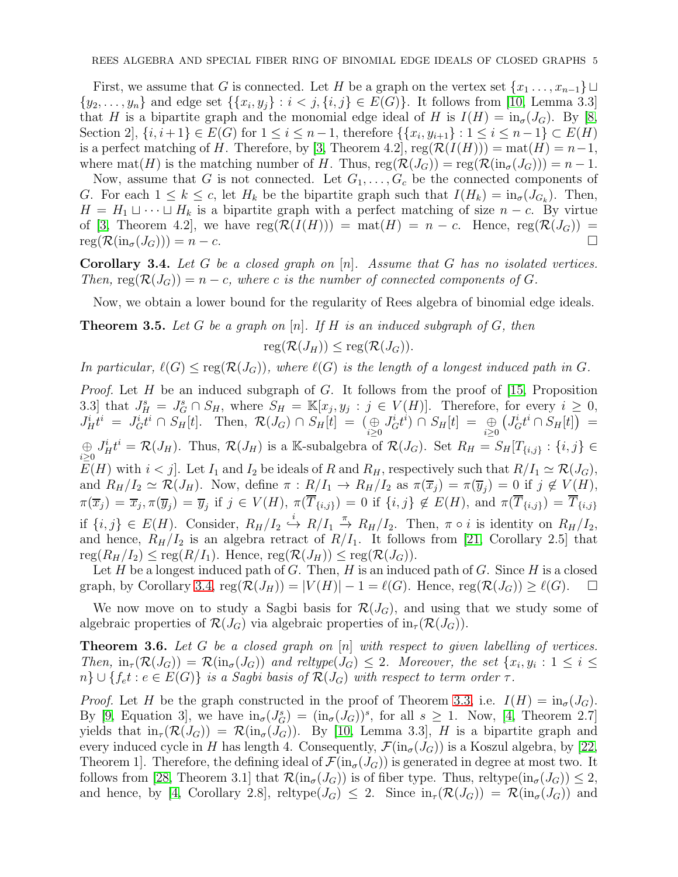First, we assume that G is connected. Let H be a graph on the vertex set  $\{x_1, \ldots, x_{n-1}\}$  $\{y_2, \ldots, y_n\}$  and edge set  $\{\{x_i, y_j\} : i < j, \{i, j\} \in E(G)\}$ . It follows from [\[10,](#page-8-14) Lemma 3.3] that H is a bipartite graph and the monomial edge ideal of H is  $I(H) = \text{in}_{\sigma}(J_G)$ . By [\[8,](#page-8-8) Section 2,  $\{i, i+1\} \in E(G)$  for  $1 \le i \le n-1$ , therefore  $\{\{x_i, y_{i+1}\} : 1 \le i \le n-1\} \subset E(H)$ is a perfect matching of H. Therefore, by [\[3,](#page-7-4) Theorem 4.2],  $reg(R(I(H))) = mat(H) = n-1$ , where mat(H) is the matching number of H. Thus,  $reg(\mathcal{R}(J_G)) = reg(\mathcal{R}(in_{\sigma}(J_G))) = n - 1$ .

Now, assume that G is not connected. Let  $G_1, \ldots, G_c$  be the connected components of G. For each  $1 \leq k \leq c$ , let  $H_k$  be the bipartite graph such that  $I(H_k) = \text{in}_{\sigma}(J_{G_k})$ . Then,  $H = H_1 \sqcup \cdots \sqcup H_k$  is a bipartite graph with a perfect matching of size  $n - c$ . By virtue of [\[3,](#page-7-4) Theorem 4.2], we have  $reg(R(I(H))) = mat(H) = n - c$ . Hence,  $reg(R(J_G)) =$  $\operatorname{reg}(\mathcal{R}(\operatorname{in}_{\sigma}(J_G))) = n - c.$ 

<span id="page-4-0"></span>Corollary 3.4. *Let* G *be a closed graph on* [n]*. Assume that* G *has no isolated vertices. Then,* reg( $\mathcal{R}(J_G)$ ) = n – c, where c is the number of connected components of G.

Now, we obtain a lower bound for the regularity of Rees algebra of binomial edge ideals.

Theorem 3.5. *Let* G *be a graph on* [n]*. If* H *is an induced subgraph of* G*, then*

 $reg(\mathcal{R}(J_H)) \leq reg(\mathcal{R}(J_G)).$ 

*In particular,*  $\ell(G) \leq \text{reg}(\mathcal{R}(J_G))$ *, where*  $\ell(G)$  *is the length of a longest induced path in G.* 

*Proof.* Let H be an induced subgraph of G. It follows from the proof of [\[15,](#page-8-15) Proposition 3.3] that  $J_H^s = J_G^s \cap S_H$ , where  $S_H = \mathbb{K}[x_j, y_j : j \in V(H)]$ . Therefore, for every  $i \geq 0$ ,  $J_H^i t^i = J_G^i t^i \cap S_H[t]$ . Then,  $\mathcal{R}(J_G) \cap S_H[t] = (\bigoplus_{i \geq 0} J_G^i t^i) \cap S_H[t] = \bigoplus_{i \geq 0}$  $(J_G^i t^i \cap S_H[t]) =$  $\bigoplus_{i\geq 0} J_H^i t^i = \mathcal{R}(J_H)$ . Thus,  $\mathcal{R}(J_H)$  is a K-subalgebra of  $\mathcal{R}(J_G)$ . Set  $R_H = S_H[T_{\{i,j\}}: \{i,j\} \in$  $E(H)$  with  $i < j$ . Let  $I_1$  and  $I_2$  be ideals of R and  $R_H$ , respectively such that  $R/I_1 \simeq \mathcal{R}(J_G)$ , and  $R_H/I_2 \simeq \mathcal{R}(J_H)$ . Now, define  $\pi : R/I_1 \to R_H/I_2$  as  $\pi(\overline{x}_j) = \pi(\overline{y}_j) = 0$  if  $j \notin V(H)$ ,  $\pi(\overline{x}_j) = \overline{x}_j, \pi(\overline{y}_j) = \overline{y}_j \text{ if } j \in V(H), \pi(T_{\{i,j\}}) = 0 \text{ if } \{i,j\} \notin E(H), \text{ and } \pi(T_{\{i,j\}}) = T_{\{i,j\}}$ if  $\{i, j\} \in E(H)$ . Consider,  $R_H/I_2 \xrightarrow{i} R/I_1 \xrightarrow{\pi} R_H/I_2$ . Then,  $\pi \circ i$  is identity on  $R_H/I_2$ , and hence,  $R_H/I_2$  is an algebra retract of  $R/I_1$ . It follows from [\[21,](#page-8-16) Corollary 2.5] that  $\text{reg}(R_H/I_2) \leq \text{reg}(R/I_1)$ . Hence,  $\text{reg}(\mathcal{R}(J_H)) \leq \text{reg}(\mathcal{R}(J_G))$ .

Let  $H$  be a longest induced path of  $G$ . Then,  $H$  is an induced path of  $G$ . Since  $H$  is a closed graph, by Corollary [3.4,](#page-4-0)  $reg(\mathcal{R}(J_H)) = |V(H)| - 1 = \ell(G)$ . Hence,  $reg(\mathcal{R}(J_G)) \geq \ell(G)$ .  $\Box$ 

We now move on to study a Sagbi basis for  $\mathcal{R}(J_G)$ , and using that we study some of algebraic properties of  $\mathcal{R}(J_G)$  via algebraic properties of  $\text{in}_{\tau}(\mathcal{R}(J_G))$ .

<span id="page-4-1"></span>Theorem 3.6. *Let* G *be a closed graph on* [n] *with respect to given labelling of vertices. Then,*  $\text{in}_{\tau}(\mathcal{R}(J_G)) = \mathcal{R}(\text{in}_{\sigma}(J_G))$  and reltype $(J_G) \leq 2$ . Moreover, the set  $\{x_i, y_i : 1 \leq i \leq n\}$  $n\} \cup \{f_{e}t : e \in E(G)\}\$ is a Sagbi basis of  $\mathcal{R}(J_G)$  with respect to term order  $\tau$ .

*Proof.* Let H be the graph constructed in the proof of Theorem [3.3,](#page-3-1) i.e.  $I(H) = \text{in}_{\sigma}(J_G)$ . By [\[9,](#page-8-11) Equation 3], we have  $\text{in}_{\sigma}(J_{G}^{s}) = (\text{in}_{\sigma}(J_{G}))^{s}$ , for all  $s \geq 1$ . Now, [\[4,](#page-7-3) Theorem 2.7] yields that  $\text{in}_{\tau}(\mathcal{R}(J_G)) = \mathcal{R}(\text{in}_{\sigma}(J_G))$ . By [\[10,](#page-8-14) Lemma 3.3], H is a bipartite graph and every induced cycle in H has length 4. Consequently,  $\mathcal{F}(\text{in}_{\sigma}(J_G))$  is a Koszul algebra, by [\[22,](#page-8-17) Theorem 1. Therefore, the defining ideal of  $\mathcal{F}(\text{in}_{\sigma}(J_G))$  is generated in degree at most two. It follows from [\[28,](#page-8-18) Theorem 3.1] that  $\mathcal{R}(\text{in}_{\sigma}(J_G))$  is of fiber type. Thus, reltype $(\text{in}_{\sigma}(J_G)) \leq 2$ , and hence, by [\[4,](#page-7-3) Corollary 2.8], reltype( $J_G$ )  $\leq$  2. Since  $\text{in}_{\tau}(\mathcal{R}(J_G)) = \mathcal{R}(\text{in}_{\sigma}(J_G))$  and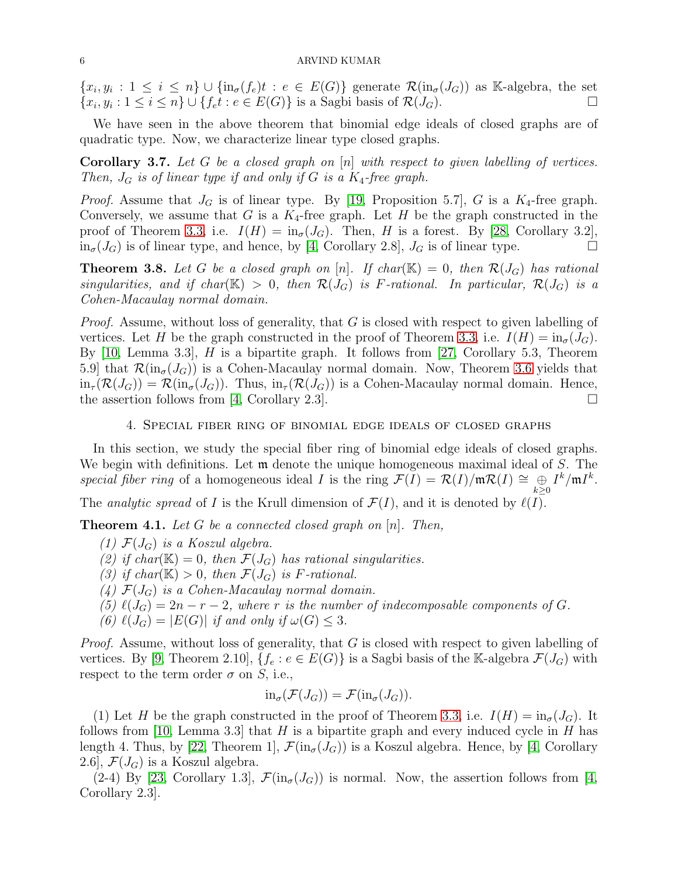$\{x_i, y_i : 1 \le i \le n\} \cup \{\text{in}_{\sigma}(f_e)t : e \in E(G)\}\$  generate  $\mathcal{R}(\text{in}_{\sigma}(J_G))$  as K-algebra, the set  ${x_i, y_i : 1 \le i \le n} \cup \{f_e t : e \in E(G)\}$  is a Sagbi basis of  $\mathcal{R}(J_G)$ .

We have seen in the above theorem that binomial edge ideals of closed graphs are of quadratic type. Now, we characterize linear type closed graphs.

Corollary 3.7. *Let* G *be a closed graph on* [n] *with respect to given labelling of vertices. Then,*  $J_G$  *is of linear type if and only if* G *is a*  $K_4$ -free graph.

*Proof.* Assume that  $J_G$  is of linear type. By [\[19,](#page-8-12) Proposition 5.7], G is a  $K_4$ -free graph. Conversely, we assume that G is a  $K_4$ -free graph. Let H be the graph constructed in the proof of Theorem [3.3,](#page-3-1) i.e.  $I(H) = \text{in}_{\sigma}(J_G)$ . Then, H is a forest. By [\[28,](#page-8-18) Corollary 3.2],  $\text{in}_{\sigma}(J_G)$  is of linear type, and hence, by [\[4,](#page-7-3) Corollary 2.8],  $J_G$  is of linear type.

**Theorem 3.8.** Let G be a closed graph on  $[n]$ . If char( $\mathbb{K}$ ) = 0, then  $\mathcal{R}(J_G)$  has rational *singularities, and if char*( $\mathbb{K}$ ) > 0*, then*  $\mathcal{R}(J_G)$  *is* F-rational. In particular,  $\mathcal{R}(J_G)$  *is a Cohen-Macaulay normal domain.*

*Proof.* Assume, without loss of generality, that G is closed with respect to given labelling of vertices. Let H be the graph constructed in the proof of Theorem [3.3,](#page-3-1) i.e.  $I(H) = \text{in}_{\sigma}(J_G)$ . By  $[10, \text{Lemma } 3.3], H$  is a bipartite graph. It follows from  $[27, \text{ Corollary } 5.3, \text{ Theorem } 3.3]$ 5.9] that  $\mathcal{R}(\text{in}_{\sigma}(J_G))$  is a Cohen-Macaulay normal domain. Now, Theorem [3.6](#page-4-1) yields that  $\lim_{\tau} (\mathcal{R}(J_G)) = \mathcal{R}(\text{in}_{\sigma}(J_G))$ . Thus,  $\lim_{\tau} (\mathcal{R}(J_G))$  is a Cohen-Macaulay normal domain. Hence, the assertion follows from [\[4,](#page-7-3) Corollary 2.3].

## 4. Special fiber ring of binomial edge ideals of closed graphs

In this section, we study the special fiber ring of binomial edge ideals of closed graphs. We begin with definitions. Let  $\mathfrak m$  denote the unique homogeneous maximal ideal of S. The *special fiber ring* of a homogeneous ideal *I* is the ring  $\mathcal{F}(I) = \mathcal{R}(I)/\mathfrak{m}\mathcal{R}(I) \cong \bigoplus_{k\geq 0} I^k/\mathfrak{m}I^k$ .

The *analytic spread* of I is the Krull dimension of  $\mathcal{F}(I)$ , and it is denoted by  $\ell(I)$ .

<span id="page-5-0"></span>Theorem 4.1. *Let* G *be a connected closed graph on* [n]*. Then,*

*(1)*  $\mathcal{F}(J_G)$  *is a Koszul algebra.* 

- (2) if char( $\mathbb{K}$ ) = 0*, then*  $\mathcal{F}(J_G)$  *has rational singularities.*
- *(3)* if char( $\mathbb{K}$ ) > 0*, then*  $\mathcal{F}(J_G)$  *is F*-rational.
- $(4)$   $\mathcal{F}(J_G)$  *is a Cohen-Macaulay normal domain.*
- (5)  $\ell(J_G) = 2n r 2$ , where r is the number of indecomposable components of G.
- *(6)*  $\ell(J_G) = |E(G)|$  *if and only if*  $\omega(G) \leq 3$ *.*

*Proof.* Assume, without loss of generality, that G is closed with respect to given labelling of vertices. By [\[9,](#page-8-11) Theorem 2.10],  $\{f_e : e \in E(G)\}$  is a Sagbi basis of the K-algebra  $\mathcal{F}(J_G)$  with respect to the term order  $\sigma$  on S, i.e.,

$$
\mathrm{in}_{\sigma}(\mathcal{F}(J_G)) = \mathcal{F}(\mathrm{in}_{\sigma}(J_G)).
$$

(1) Let H be the graph constructed in the proof of Theorem [3.3,](#page-3-1) i.e.  $I(H) = \text{in}_{\sigma}(J_G)$ . It follows from [\[10,](#page-8-14) Lemma 3.3] that H is a bipartite graph and every induced cycle in H has length 4. Thus, by [\[22,](#page-8-17) Theorem 1],  $\mathcal{F}(\text{in}_{\sigma}(J_G))$  is a Koszul algebra. Hence, by [\[4,](#page-7-3) Corollary 2.6,  $\mathcal{F}(J_G)$  is a Koszul algebra.

 $(2-4)$  By [\[23,](#page-8-20) Corollary 1.3],  $\mathcal{F}(\text{in}_{\sigma}(J_G))$  is normal. Now, the assertion follows from [\[4,](#page-7-3) Corollary 2.3].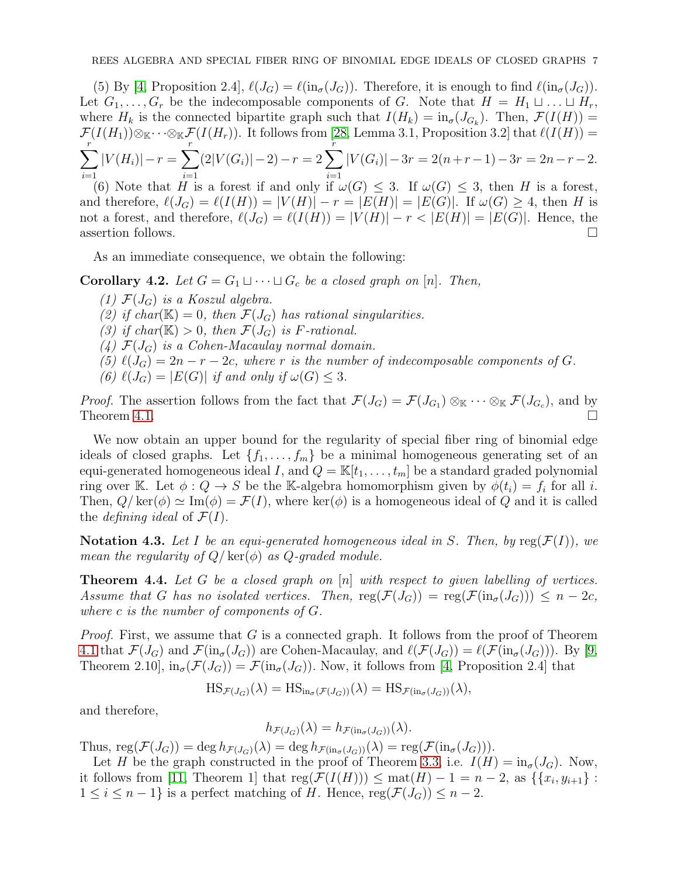(5) By [\[4,](#page-7-3) Proposition 2.4],  $\ell(J_G) = \ell(\text{in}_{\sigma}(J_G))$ . Therefore, it is enough to find  $\ell(\text{in}_{\sigma}(J_G))$ . Let  $G_1, \ldots, G_r$  be the indecomposable components of G. Note that  $H = H_1 \sqcup \ldots \sqcup H_r$ , where  $H_k$  is the connected bipartite graph such that  $I(H_k) = \text{in}_{\sigma}(J_{G_k})$ . Then,  $\mathcal{F}(I(H)) =$  $\mathcal{F}(I(H_1))\otimes_{\mathbb{K}}\cdots\otimes_{\mathbb{K}}\mathcal{F}(I(H_r))$ . It follows from [\[28,](#page-8-18) Lemma 3.1, Proposition 3.2] that  $\ell(I(H))=$  $\sum_{r}$  $i=1$  $|V(H_i)| - r = \sum_{i=1}^{r}$  $i=1$  $(2|V(G_i)|-2)-r=2\sum^{r}$  $i=1$  $|V(G_i)| - 3r = 2(n+r-1) - 3r = 2n-r-2.$ (6) Note that H is a forest if and only if  $\omega(G) \leq 3$ . If  $\omega(G) \leq 3$ , then H is a forest,

and therefore,  $\ell(J_G) = \ell(I(H)) = |V(H)| - r = |E(H)| = |E(G)|$ . If  $\omega(G) \geq 4$ , then H is not a forest, and therefore,  $\ell(J_G) = \ell(I(H)) = |V(H)| - r < |E(H)| = |E(G)|$ . Hence, the assertion follows.

As an immediate consequence, we obtain the following:

**Corollary 4.2.** *Let*  $G = G_1 \sqcup \cdots \sqcup G_c$  *be a closed graph on* [n]. *Then,* 

- *(1)*  $\mathcal{F}(J_G)$  *is a Koszul algebra.*
- (2) if char( $\mathbb{K}$ ) = 0*, then*  $\mathcal{F}(J_G)$  *has rational singularities.*
- *(3)* if char( $\mathbb{K}$ ) > 0*, then*  $\mathcal{F}(J_G)$  *is F*-rational.
- $(4)$   $\mathcal{F}(J_G)$  *is a Cohen-Macaulay normal domain.*
- (5)  $\ell(J_G) = 2n r 2c$ , where r is the number of indecomposable components of G.
- *(6)*  $\ell(J_G) = |E(G)|$  *if and only if*  $\omega(G) \leq 3$ *.*

*Proof.* The assertion follows from the fact that  $\mathcal{F}(J_G) = \mathcal{F}(J_{G_1}) \otimes_{\mathbb{K}} \cdots \otimes_{\mathbb{K}} \mathcal{F}(J_{G_c})$ , and by Theorem [4.1.](#page-5-0)  $\Box$ 

We now obtain an upper bound for the regularity of special fiber ring of binomial edge ideals of closed graphs. Let  $\{f_1, \ldots, f_m\}$  be a minimal homogeneous generating set of an equi-generated homogeneous ideal I, and  $Q = \mathbb{K}[t_1, \ldots, t_m]$  be a standard graded polynomial ring over K. Let  $\phi: Q \to S$  be the K-algebra homomorphism given by  $\phi(t_i) = f_i$  for all i. Then,  $Q/\text{ker}(\phi) \simeq \text{Im}(\phi) = \mathcal{F}(I)$ , where  $\text{ker}(\phi)$  is a homogeneous ideal of Q and it is called the *defining ideal* of  $\mathcal{F}(I)$ .

**Notation 4.3.** Let I be an equi-generated homogeneous ideal in S. Then, by  $reg(\mathcal{F}(I))$ , we *mean the regularity of*  $Q$ / $\ker(\phi)$  *as*  $Q$ -graded module.

<span id="page-6-0"></span>Theorem 4.4. *Let* G *be a closed graph on* [n] *with respect to given labelling of vertices. Assume that* G *has no isolated vertices. Then,*  $reg(\mathcal{F}(J_G)) = reg(\mathcal{F}(in_{\sigma}(J_G))) \leq n - 2c$ , *where* c *is the number of components of* G*.*

*Proof.* First, we assume that G is a connected graph. It follows from the proof of Theorem [4.1](#page-5-0) that  $\mathcal{F}(J_G)$  and  $\mathcal{F}(\text{in}_{\sigma}(J_G))$  are Cohen-Macaulay, and  $\ell(\mathcal{F}(J_G)) = \ell(\mathcal{F}(\text{in}_{\sigma}(J_G)))$ . By [\[9,](#page-8-11) Theorem 2.10,  $\text{in}_{\sigma}(\mathcal{F}(J_G)) = \mathcal{F}(\text{in}_{\sigma}(J_G))$ . Now, it follows from [\[4,](#page-7-3) Proposition 2.4] that

$$
HS_{\mathcal{F}(J_G)}(\lambda) = HS_{\text{in}_{\sigma}(\mathcal{F}(J_G))}(\lambda) = HS_{\mathcal{F}(\text{in}_{\sigma}(J_G))}(\lambda),
$$

and therefore,

$$
h_{\mathcal{F}(J_G)}(\lambda) = h_{\mathcal{F}(\text{in}_{\sigma}(J_G))}(\lambda).
$$

Thus,  $\text{reg}(\mathcal{F}(J_G)) = \text{deg } h_{\mathcal{F}(J_G)}(\lambda) = \text{deg } h_{\mathcal{F}(\text{in}_{\sigma}(J_G))}(\lambda) = \text{reg}(\mathcal{F}(\text{in}_{\sigma}(J_G))).$ 

Let H be the graph constructed in the proof of Theorem [3.3,](#page-3-1) i.e.  $I(H) = \text{in}_{\sigma}(J_G)$ . Now, it follows from [\[11,](#page-8-21) Theorem 1] that  $reg(\mathcal{F}(I(H))) \leq mat(H) - 1 = n - 2$ , as  $\{\{x_i, y_{i+1}\}$ :  $1 \leq i \leq n-1$  is a perfect matching of H. Hence,  $reg(\mathcal{F}(J_G)) \leq n-2$ .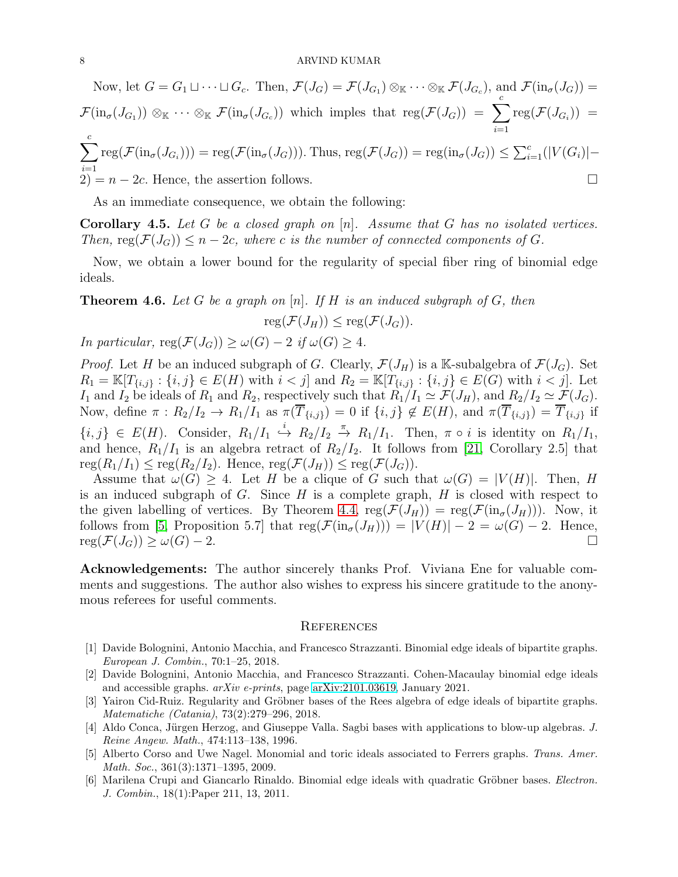Now, let 
$$
G = G_1 \sqcup \cdots \sqcup G_c
$$
. Then,  $\mathcal{F}(J_G) = \mathcal{F}(J_{G_1}) \otimes_{\mathbb{K}} \cdots \otimes_{\mathbb{K}} \mathcal{F}(J_{G_c})$ , and  $\mathcal{F}(\text{in}_{\sigma}(J_G)) = \mathcal{F}(\text{in}_{\sigma}(J_{G_1})) \otimes_{\mathbb{K}} \cdots \otimes_{\mathbb{K}} \mathcal{F}(\text{in}_{\sigma}(J_{G_c}))$  which implies that  $\text{reg}(\mathcal{F}(J_G)) = \sum_{i=1}^c \text{reg}(\mathcal{F}(J_{G_i})) = \sum_{i=1}^c \text{reg}(\mathcal{F}(\text{in}_{\sigma}(J_{G_i}))) = \text{reg}(\mathcal{F}(\text{in}_{\sigma}(J_G)))$ . Thus,  $\text{reg}(\mathcal{F}(J_G)) = \text{reg}(\text{in}_{\sigma}(J_G)) \leq \sum_{i=1}^c (|V(G_i)| - 2) = n - 2c$ . Hence, the assertion follows.

As an immediate consequence, we obtain the following:

Corollary 4.5. *Let* G *be a closed graph on* [n]*. Assume that* G *has no isolated vertices. Then,*  $reg(\mathcal{F}(J_G)) \leq n-2c$ , where c is the number of connected components of G.

Now, we obtain a lower bound for the regularity of special fiber ring of binomial edge ideals.

Theorem 4.6. *Let* G *be a graph on* [n]*. If* H *is an induced subgraph of* G*, then*  $\text{reg}(\mathcal{F}(J_H)) \leq \text{reg}(\mathcal{F}(J_G)).$ 

*In particular,*  $reg(\mathcal{F}(J_G)) \geq \omega(G) - 2$  *if*  $\omega(G) > 4$ *.* 

*Proof.* Let H be an induced subgraph of G. Clearly,  $\mathcal{F}(J_H)$  is a K-subalgebra of  $\mathcal{F}(J_G)$ . Set  $R_1 = \mathbb{K}[T_{\{i,j\}} : \{i,j\} \in E(H) \text{ with } i < j] \text{ and } R_2 = \mathbb{K}[T_{\{i,j\}} : \{i,j\} \in E(G) \text{ with } i < j].$  Let I<sub>1</sub> and I<sub>2</sub> be ideals of  $R_1$  and  $R_2$ , respectively such that  $R_1/I_1 \simeq \mathcal{F}(J_H)$ , and  $R_2/I_2 \simeq \mathcal{F}(J_G)$ . Now, define  $\pi: R_2/I_2 \to R_1/I_1$  as  $\pi(\overline{T}_{\{i,j\}}) = 0$  if  $\{i,j\} \notin E(H)$ , and  $\pi(\overline{T}_{\{i,j\}}) = \overline{T}_{\{i,j\}}$  if  $\{i,j\} \in E(H)$ . Consider,  $R_1/I_1 \stackrel{i}{\hookrightarrow} R_2/I_2 \stackrel{\pi}{\to} R_1/I_1$ . Then,  $\pi \circ i$  is identity on  $R_1/I_1$ , and hence,  $R_1/I_1$  is an algebra retract of  $R_2/I_2$ . It follows from [\[21,](#page-8-16) Corollary 2.5] that  $\text{reg}(R_1/I_1) \leq \text{reg}(R_2/I_2)$ . Hence,  $\text{reg}(\mathcal{F}(J_H)) \leq \text{reg}(\mathcal{F}(J_G))$ .

Assume that  $\omega(G) \geq 4$ . Let H be a clique of G such that  $\omega(G) = |V(H)|$ . Then, H is an induced subgraph of  $G$ . Since  $H$  is a complete graph,  $H$  is closed with respect to the given labelling of vertices. By Theorem [4.4,](#page-6-0)  $reg(\mathcal{F}(J_H)) = reg(\mathcal{F}(in_{\sigma}(J_H)))$ . Now, it follows from [\[5,](#page-7-5) Proposition 5.7] that  $reg(\mathcal{F}(\text{in}_{\sigma}(J_H))) = |V(H)| - 2 = \omega(G) - 2$ . Hence,  $reg(\mathcal{F}(J_G)) \ge \omega(G) - 2.$ 

Acknowledgements: The author sincerely thanks Prof. Viviana Ene for valuable comments and suggestions. The author also wishes to express his sincere gratitude to the anonymous referees for useful comments.

### **REFERENCES**

- <span id="page-7-1"></span>[1] Davide Bolognini, Antonio Macchia, and Francesco Strazzanti. Binomial edge ideals of bipartite graphs. European J. Combin., 70:1–25, 2018.
- <span id="page-7-2"></span>[2] Davide Bolognini, Antonio Macchia, and Francesco Strazzanti. Cohen-Macaulay binomial edge ideals and accessible graphs. arXiv e-prints, page [arXiv:2101.03619,](http://arxiv.org/abs/2101.03619) January 2021.
- <span id="page-7-4"></span>[3] Yairon Cid-Ruiz. Regularity and Gröbner bases of the Rees algebra of edge ideals of bipartite graphs. Matematiche (Catania), 73(2):279–296, 2018.
- <span id="page-7-3"></span>[4] Aldo Conca, Jürgen Herzog, and Giuseppe Valla. Sagbi bases with applications to blow-up algebras. J. Reine Angew. Math., 474:113–138, 1996.
- <span id="page-7-5"></span>[5] Alberto Corso and Uwe Nagel. Monomial and toric ideals associated to Ferrers graphs. Trans. Amer. Math. Soc., 361(3):1371–1395, 2009.
- <span id="page-7-0"></span>[6] Marilena Crupi and Giancarlo Rinaldo. Binomial edge ideals with quadratic Gröbner bases. *Electron*. J. Combin., 18(1):Paper 211, 13, 2011.